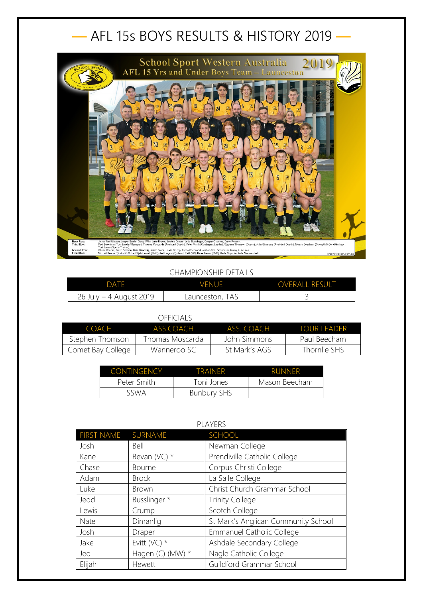## — AFL 15s BOYS RESULTS & HISTORY 2019 —



## CHAMPIONSHIP DETAILS

| <b>DATE</b>             | <b>VENUE</b>    | <b>OVERALL RESULT</b> |
|-------------------------|-----------------|-----------------------|
| 26 July – 4 August 2019 | Launceston, TAS |                       |

## OFFICIALS

| COACH             | ASS COACH        | ASS COACH     | TOUR LEADER  |
|-------------------|------------------|---------------|--------------|
| Stephen Thomson   | Thomas Moscarda. | John Simmons  | Paul Beecham |
| Comet Bay College | Wanneroo SC      | St Mark's AGS | Thornlie SHS |

| <b>CONTINGENCY</b> | TRAINFR            | <b>RUNNER</b> |
|--------------------|--------------------|---------------|
| Peter Smith        | Toni Jones         | Mason Beecham |
| SSWA               | <b>Bunbury SHS</b> |               |

| PLAYERS            |                  |                                     |  |
|--------------------|------------------|-------------------------------------|--|
| FIRST NAME SURNAME |                  | SCHOOL                              |  |
| Josh               | Bell             | Newman College                      |  |
| Kane               | Bevan (VC) $*$   | Prendiville Catholic College        |  |
| Chase              | <b>Bourne</b>    | Corpus Christi College              |  |
| Adam               | <b>Brock</b>     | La Salle College                    |  |
| Luke               | <b>Brown</b>     | Christ Church Grammar School        |  |
| Jedd               | Busslinger *     | <b>Trinity College</b>              |  |
| Lewis              | Crump            | Scotch College                      |  |
| Nate               | Dimanlig         | St Mark's Anglican Community School |  |
| Josh               | Draper           | Emmanuel Catholic College           |  |
| Jake               | Evitt ( $VC$ ) * | Ashdale Secondary College           |  |
| Jed                | Hagen (C) (MW) * | Nagle Catholic College              |  |
| Elijah             | Hewett           | Guildford Grammar School            |  |

## PLAYERS